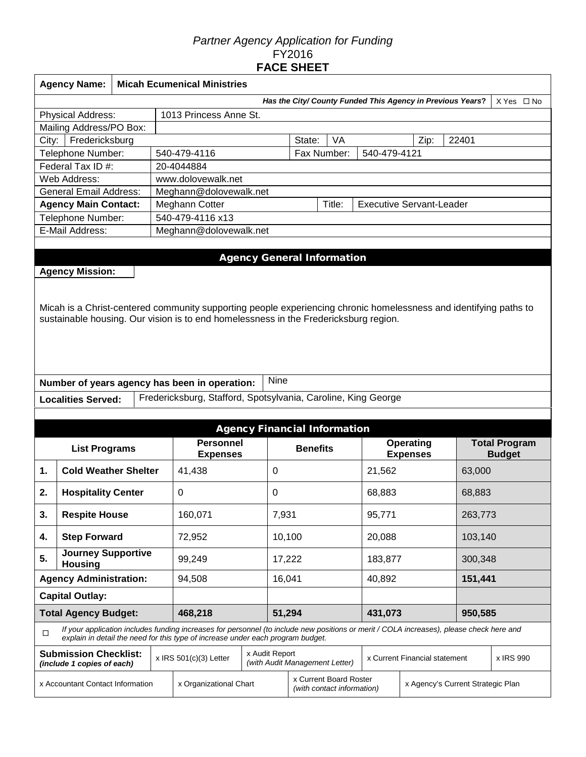## *Partner Agency Application for Funding*  FY2016 **FACE SHEET**

|        | <b>Agency Name:</b>                                                           |  |  | <b>Micah Ecumenical Ministries</b>                                                                                                       |                |             |                                                          |           |                                 |                               |         |                      |
|--------|-------------------------------------------------------------------------------|--|--|------------------------------------------------------------------------------------------------------------------------------------------|----------------|-------------|----------------------------------------------------------|-----------|---------------------------------|-------------------------------|---------|----------------------|
|        | Has the City/ County Funded This Agency in Previous Years?<br>$X Yes \Box No$ |  |  |                                                                                                                                          |                |             |                                                          |           |                                 |                               |         |                      |
|        | 1013 Princess Anne St.<br><b>Physical Address:</b>                            |  |  |                                                                                                                                          |                |             |                                                          |           |                                 |                               |         |                      |
|        | Mailing Address/PO Box:                                                       |  |  |                                                                                                                                          |                |             |                                                          |           |                                 |                               |         |                      |
| City:  | Fredericksburg                                                                |  |  |                                                                                                                                          |                |             | State:                                                   | <b>VA</b> |                                 | Zip:                          | 22401   |                      |
|        | Telephone Number:                                                             |  |  | 540-479-4116                                                                                                                             |                |             | Fax Number:                                              |           | 540-479-4121                    |                               |         |                      |
|        | Federal Tax ID #:                                                             |  |  | 20-4044884                                                                                                                               |                |             |                                                          |           |                                 |                               |         |                      |
|        | Web Address:                                                                  |  |  | www.dolovewalk.net                                                                                                                       |                |             |                                                          |           |                                 |                               |         |                      |
|        | <b>General Email Address:</b>                                                 |  |  | Meghann@dolovewalk.net                                                                                                                   |                |             |                                                          |           |                                 |                               |         |                      |
|        | <b>Agency Main Contact:</b>                                                   |  |  | Meghann Cotter                                                                                                                           |                |             |                                                          | Title:    | <b>Executive Servant-Leader</b> |                               |         |                      |
|        | Telephone Number:                                                             |  |  | 540-479-4116 x13                                                                                                                         |                |             |                                                          |           |                                 |                               |         |                      |
|        | E-Mail Address:                                                               |  |  | Meghann@dolovewalk.net                                                                                                                   |                |             |                                                          |           |                                 |                               |         |                      |
|        |                                                                               |  |  |                                                                                                                                          |                |             |                                                          |           |                                 |                               |         |                      |
|        |                                                                               |  |  |                                                                                                                                          |                |             | <b>Agency General Information</b>                        |           |                                 |                               |         |                      |
|        | <b>Agency Mission:</b>                                                        |  |  |                                                                                                                                          |                |             |                                                          |           |                                 |                               |         |                      |
|        |                                                                               |  |  |                                                                                                                                          |                |             |                                                          |           |                                 |                               |         |                      |
|        |                                                                               |  |  |                                                                                                                                          |                |             |                                                          |           |                                 |                               |         |                      |
|        |                                                                               |  |  | Micah is a Christ-centered community supporting people experiencing chronic homelessness and identifying paths to                        |                |             |                                                          |           |                                 |                               |         |                      |
|        |                                                                               |  |  | sustainable housing. Our vision is to end homelessness in the Fredericksburg region.                                                     |                |             |                                                          |           |                                 |                               |         |                      |
|        |                                                                               |  |  |                                                                                                                                          |                |             |                                                          |           |                                 |                               |         |                      |
|        |                                                                               |  |  |                                                                                                                                          |                |             |                                                          |           |                                 |                               |         |                      |
|        |                                                                               |  |  |                                                                                                                                          |                |             |                                                          |           |                                 |                               |         |                      |
|        |                                                                               |  |  |                                                                                                                                          |                |             |                                                          |           |                                 |                               |         |                      |
|        |                                                                               |  |  |                                                                                                                                          |                |             |                                                          |           |                                 |                               |         |                      |
|        |                                                                               |  |  | Number of years agency has been in operation:                                                                                            |                | <b>Nine</b> |                                                          |           |                                 |                               |         |                      |
|        | <b>Localities Served:</b>                                                     |  |  | Fredericksburg, Stafford, Spotsylvania, Caroline, King George                                                                            |                |             |                                                          |           |                                 |                               |         |                      |
|        |                                                                               |  |  |                                                                                                                                          |                |             |                                                          |           |                                 |                               |         |                      |
|        |                                                                               |  |  |                                                                                                                                          |                |             | <b>Agency Financial Information</b>                      |           |                                 |                               |         |                      |
|        | <b>List Programs</b>                                                          |  |  | <b>Personnel</b>                                                                                                                         |                |             | <b>Benefits</b>                                          |           |                                 | Operating                     |         | <b>Total Program</b> |
|        |                                                                               |  |  | <b>Expenses</b>                                                                                                                          |                |             |                                                          |           |                                 | <b>Expenses</b>               |         | <b>Budget</b>        |
| 1.     | <b>Cold Weather Shelter</b>                                                   |  |  | 41,438                                                                                                                                   |                | 0           |                                                          |           | 21,562                          |                               | 63,000  |                      |
| 2.     | <b>Hospitality Center</b>                                                     |  |  | $\mathbf 0$                                                                                                                              |                | 0           |                                                          |           | 68,883                          |                               | 68,883  |                      |
|        |                                                                               |  |  |                                                                                                                                          |                |             |                                                          |           |                                 |                               |         |                      |
| 3.     | <b>Respite House</b>                                                          |  |  | 160,071                                                                                                                                  |                | 7,931       |                                                          |           | 95,771                          |                               | 263,773 |                      |
| 4.     | <b>Step Forward</b>                                                           |  |  | 72,952                                                                                                                                   |                | 10,100      |                                                          |           | 20,088                          |                               | 103,140 |                      |
|        | Journey Supportive                                                            |  |  |                                                                                                                                          |                |             |                                                          |           |                                 |                               |         |                      |
| 5.     | <b>Housing</b>                                                                |  |  | 99,249                                                                                                                                   |                | 17,222      |                                                          |           | 183,877                         |                               | 300,348 |                      |
|        | <b>Agency Administration:</b>                                                 |  |  | 94,508                                                                                                                                   |                | 16,041      |                                                          |           | 40,892                          |                               | 151,441 |                      |
|        | <b>Capital Outlay:</b>                                                        |  |  |                                                                                                                                          |                |             |                                                          |           |                                 |                               |         |                      |
|        | <b>Total Agency Budget:</b>                                                   |  |  | 468,218                                                                                                                                  |                | 51,294      |                                                          |           | 431,073                         |                               | 950,585 |                      |
|        |                                                                               |  |  | If your application includes funding increases for personnel (to include new positions or merit / COLA increases), please check here and |                |             |                                                          |           |                                 |                               |         |                      |
| $\Box$ |                                                                               |  |  | explain in detail the need for this type of increase under each program budget.                                                          |                |             |                                                          |           |                                 |                               |         |                      |
|        | <b>Submission Checklist:</b>                                                  |  |  | $x$ IRS 501(c)(3) Letter                                                                                                                 | x Audit Report |             |                                                          |           |                                 | x Current Financial statement |         | x IRS 990            |
|        | (include 1 copies of each)                                                    |  |  |                                                                                                                                          |                |             | (with Audit Management Letter)<br>x Current Board Roster |           |                                 |                               |         |                      |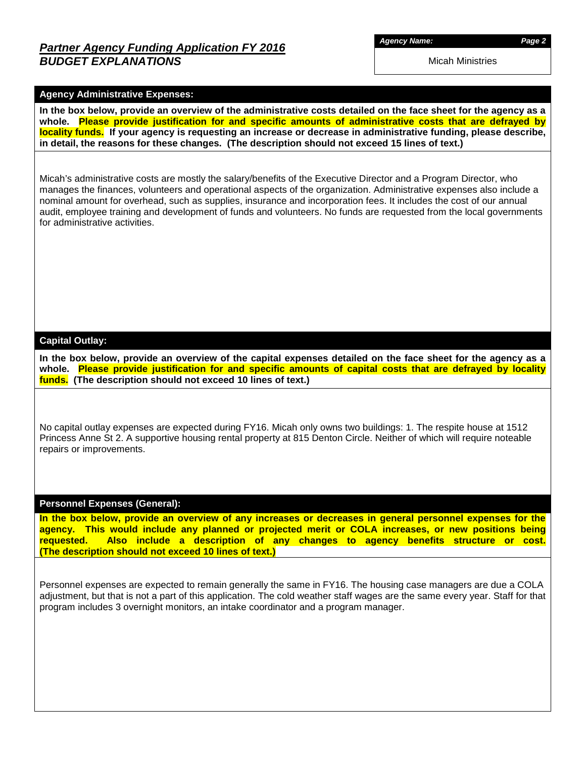## *Partner Agency Funding Application FY 2016 BUDGET EXPLANATIONS*

*Agency Name: Page 2*

Micah Ministries

#### **Agency Administrative Expenses:**

**In the box below, provide an overview of the administrative costs detailed on the face sheet for the agency as a whole. Please provide justification for and specific amounts of administrative costs that are defrayed by locality funds. If your agency is requesting an increase or decrease in administrative funding, please describe, in detail, the reasons for these changes. (The description should not exceed 15 lines of text.)**

Micah's administrative costs are mostly the salary/benefits of the Executive Director and a Program Director, who manages the finances, volunteers and operational aspects of the organization. Administrative expenses also include a nominal amount for overhead, such as supplies, insurance and incorporation fees. It includes the cost of our annual audit, employee training and development of funds and volunteers. No funds are requested from the local governments for administrative activities.

#### **Capital Outlay:**

**In the box below, provide an overview of the capital expenses detailed on the face sheet for the agency as a whole. Please provide justification for and specific amounts of capital costs that are defrayed by locality funds. (The description should not exceed 10 lines of text.)**

No capital outlay expenses are expected during FY16. Micah only owns two buildings: 1. The respite house at 1512 Princess Anne St 2. A supportive housing rental property at 815 Denton Circle. Neither of which will require noteable repairs or improvements.

#### **Personnel Expenses (General):**

**In the box below, provide an overview of any increases or decreases in general personnel expenses for the agency. This would include any planned or projected merit or COLA increases, or new positions being requested. Also include a description of any changes to agency benefits structure or cost. (The description should not exceed 10 lines of text.)**

Personnel expenses are expected to remain generally the same in FY16. The housing case managers are due a COLA adjustment, but that is not a part of this application. The cold weather staff wages are the same every year. Staff for that program includes 3 overnight monitors, an intake coordinator and a program manager.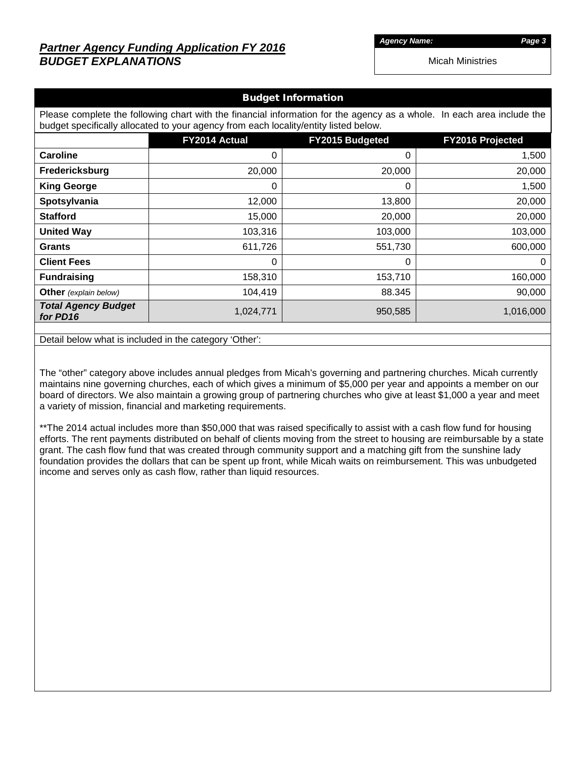# *Partner Agency Funding Application FY 2016 BUDGET EXPLANATIONS*

*Agency Name: Page 3*

Micah Ministries

#### Budget Information

Please complete the following chart with the financial information for the agency as a whole. In each area include the budget specifically allocated to your agency from each locality/entity listed below.

|                                        | FY2014 Actual | FY2015 Budgeted | <b>FY2016 Projected</b> |
|----------------------------------------|---------------|-----------------|-------------------------|
| <b>Caroline</b>                        | 0             | 0               | 1,500                   |
| Fredericksburg                         | 20,000        | 20,000          | 20,000                  |
| <b>King George</b>                     | 0             | 0               | 1,500                   |
| Spotsylvania                           | 12,000        | 13,800          | 20,000                  |
| <b>Stafford</b>                        | 15,000        | 20,000          | 20,000                  |
| <b>United Way</b>                      | 103,316       | 103,000         | 103,000                 |
| <b>Grants</b>                          | 611,726       | 551,730         | 600,000                 |
| <b>Client Fees</b>                     | 0             | 0               | 0                       |
| <b>Fundraising</b>                     | 158,310       | 153,710         | 160,000                 |
| Other (explain below)                  | 104,419       | 88.345          | 90,000                  |
| <b>Total Agency Budget</b><br>for PD16 | 1,024,771     | 950,585         | 1,016,000               |

Detail below what is included in the category 'Other':

The "other" category above includes annual pledges from Micah's governing and partnering churches. Micah currently maintains nine governing churches, each of which gives a minimum of \$5,000 per year and appoints a member on our board of directors. We also maintain a growing group of partnering churches who give at least \$1,000 a year and meet a variety of mission, financial and marketing requirements.

\*\*The 2014 actual includes more than \$50,000 that was raised specifically to assist with a cash flow fund for housing efforts. The rent payments distributed on behalf of clients moving from the street to housing are reimbursable by a state grant. The cash flow fund that was created through community support and a matching gift from the sunshine lady foundation provides the dollars that can be spent up front, while Micah waits on reimbursement. This was unbudgeted income and serves only as cash flow, rather than liquid resources.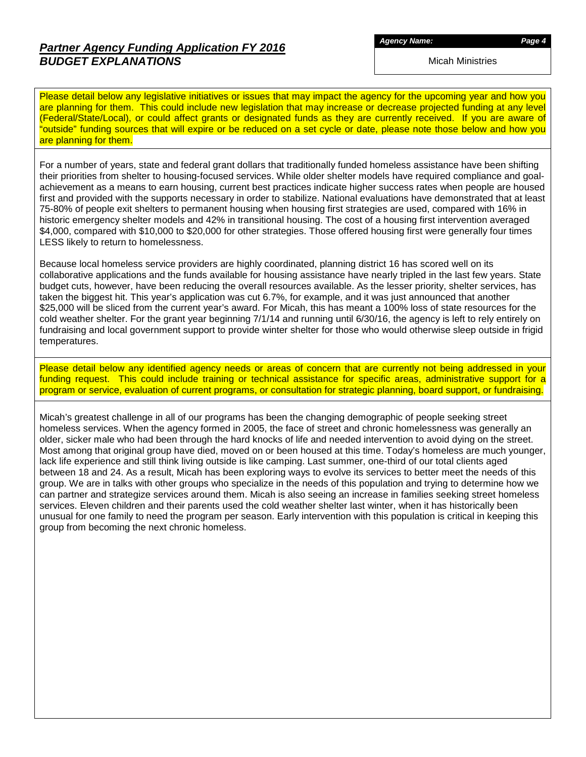# *Partner Agency Funding Application FY 2016 BUDGET EXPLANATIONS*

*Agency Name: Page 4*

Micah Ministries

Please detail below any legislative initiatives or issues that may impact the agency for the upcoming year and how you are planning for them. This could include new legislation that may increase or decrease projected funding at any level (Federal/State/Local), or could affect grants or designated funds as they are currently received. If you are aware of "outside" funding sources that will expire or be reduced on a set cycle or date, please note those below and how you are planning for them.

For a number of years, state and federal grant dollars that traditionally funded homeless assistance have been shifting their priorities from shelter to housing-focused services. While older shelter models have required compliance and goalachievement as a means to earn housing, current best practices indicate higher success rates when people are housed first and provided with the supports necessary in order to stabilize. National evaluations have demonstrated that at least 75-80% of people exit shelters to permanent housing when housing first strategies are used, compared with 16% in historic emergency shelter models and 42% in transitional housing. The cost of a housing first intervention averaged \$4,000, compared with \$10,000 to \$20,000 for other strategies. Those offered housing first were generally four times LESS likely to return to homelessness.

Because local homeless service providers are highly coordinated, planning district 16 has scored well on its collaborative applications and the funds available for housing assistance have nearly tripled in the last few years. State budget cuts, however, have been reducing the overall resources available. As the lesser priority, shelter services, has taken the biggest hit. This year's application was cut 6.7%, for example, and it was just announced that another \$25,000 will be sliced from the current year's award. For Micah, this has meant a 100% loss of state resources for the cold weather shelter. For the grant year beginning 7/1/14 and running until 6/30/16, the agency is left to rely entirely on fundraising and local government support to provide winter shelter for those who would otherwise sleep outside in frigid temperatures.

Please detail below any identified agency needs or areas of concern that are currently not being addressed in your funding request. This could include training or technical assistance for specific areas, administrative support for a program or service, evaluation of current programs, or consultation for strategic planning, board support, or fundraising.

Micah's greatest challenge in all of our programs has been the changing demographic of people seeking street homeless services. When the agency formed in 2005, the face of street and chronic homelessness was generally an older, sicker male who had been through the hard knocks of life and needed intervention to avoid dying on the street. Most among that original group have died, moved on or been housed at this time. Today's homeless are much younger, lack life experience and still think living outside is like camping. Last summer, one-third of our total clients aged between 18 and 24. As a result, Micah has been exploring ways to evolve its services to better meet the needs of this group. We are in talks with other groups who specialize in the needs of this population and trying to determine how we can partner and strategize services around them. Micah is also seeing an increase in families seeking street homeless services. Eleven children and their parents used the cold weather shelter last winter, when it has historically been unusual for one family to need the program per season. Early intervention with this population is critical in keeping this group from becoming the next chronic homeless.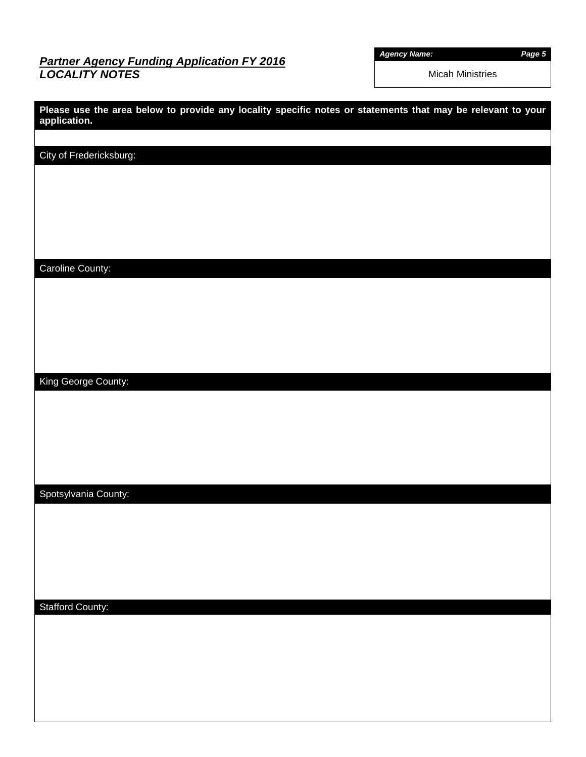## *Partner Agency Funding Application FY 2016 LOCALITY NOTES*

*Agency Name: Page 5*

Micah Ministries

| Please use the area below to provide any locality specific notes or statements that may be relevant to your<br>application. |
|-----------------------------------------------------------------------------------------------------------------------------|
|                                                                                                                             |
| City of Fredericksburg:                                                                                                     |
|                                                                                                                             |
|                                                                                                                             |
|                                                                                                                             |
|                                                                                                                             |
|                                                                                                                             |
| Caroline County:                                                                                                            |
|                                                                                                                             |
|                                                                                                                             |
|                                                                                                                             |
|                                                                                                                             |
|                                                                                                                             |
| King George County:                                                                                                         |
|                                                                                                                             |
|                                                                                                                             |
|                                                                                                                             |
|                                                                                                                             |
|                                                                                                                             |
| Spotsylvania County:                                                                                                        |
|                                                                                                                             |
|                                                                                                                             |
|                                                                                                                             |
|                                                                                                                             |
|                                                                                                                             |
| <b>Stafford County:</b>                                                                                                     |
|                                                                                                                             |
|                                                                                                                             |
|                                                                                                                             |
|                                                                                                                             |
|                                                                                                                             |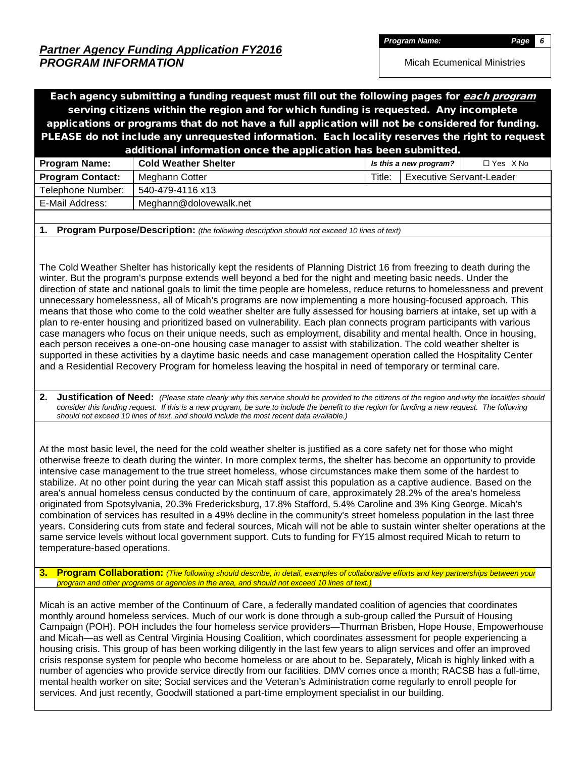*Program Name: Page 6*

Micah Ecumenical Ministries

Each agency submitting a funding request must fill out the following pages for *each program* serving citizens within the region and for which funding is requested. Any incomplete applications or programs that do not have a full application will not be considered for funding. PLEASE do not include any unrequested information. Each locality reserves the right to request additional information once the application has been submitted.

|                         | .                           |        |                                 |                   |
|-------------------------|-----------------------------|--------|---------------------------------|-------------------|
| <b>Program Name:</b>    | <b>Cold Weather Shelter</b> |        | Is this a new program?          | $\Box$ Yes $X$ No |
| <b>Program Contact:</b> | Meghann Cotter              | Title: | <b>Executive Servant-Leader</b> |                   |
| Telephone Number:       | 540-479-4116 x13            |        |                                 |                   |
| E-Mail Address:         | Meghann@dolovewalk.net      |        |                                 |                   |
|                         |                             |        |                                 |                   |

**1. Program Purpose/Description:** *(the following description should not exceed 10 lines of text)*

The Cold Weather Shelter has historically kept the residents of Planning District 16 from freezing to death during the winter. But the program's purpose extends well beyond a bed for the night and meeting basic needs. Under the direction of state and national goals to limit the time people are homeless, reduce returns to homelessness and prevent unnecessary homelessness, all of Micah's programs are now implementing a more housing-focused approach. This means that those who come to the cold weather shelter are fully assessed for housing barriers at intake, set up with a plan to re-enter housing and prioritized based on vulnerability. Each plan connects program participants with various case managers who focus on their unique needs, such as employment, disability and mental health. Once in housing, each person receives a one-on-one housing case manager to assist with stabilization. The cold weather shelter is supported in these activities by a daytime basic needs and case management operation called the Hospitality Center and a Residential Recovery Program for homeless leaving the hospital in need of temporary or terminal care.

**2. Justification of Need:** *(Please state clearly why this service should be provided to the citizens of the region and why the localities should consider this funding request. If this is a new program, be sure to include the benefit to the region for funding a new request. The following should not exceed 10 lines of text, and should include the most recent data available.)*

At the most basic level, the need for the cold weather shelter is justified as a core safety net for those who might otherwise freeze to death during the winter. In more complex terms, the shelter has become an opportunity to provide intensive case management to the true street homeless, whose circumstances make them some of the hardest to stabilize. At no other point during the year can Micah staff assist this population as a captive audience. Based on the area's annual homeless census conducted by the continuum of care, approximately 28.2% of the area's homeless originated from Spotsylvania, 20.3% Fredericksburg, 17.8% Stafford, 5.4% Caroline and 3% King George. Micah's combination of services has resulted in a 49% decline in the community's street homeless population in the last three years. Considering cuts from state and federal sources, Micah will not be able to sustain winter shelter operations at the same service levels without local government support. Cuts to funding for FY15 almost required Micah to return to temperature-based operations.

**3. Program Collaboration:** *(The following should describe, in detail, examples of collaborative efforts and key partnerships between your program and other programs or agencies in the area, and should not exceed 10 lines of text.)*

Micah is an active member of the Continuum of Care, a federally mandated coalition of agencies that coordinates monthly around homeless services. Much of our work is done through a sub-group called the Pursuit of Housing Campaign (POH). POH includes the four homeless service providers—Thurman Brisben, Hope House, Empowerhouse and Micah—as well as Central Virginia Housing Coalition, which coordinates assessment for people experiencing a housing crisis. This group of has been working diligently in the last few years to align services and offer an improved crisis response system for people who become homeless or are about to be. Separately, Micah is highly linked with a number of agencies who provide service directly from our facilities. DMV comes once a month; RACSB has a full-time, mental health worker on site; Social services and the Veteran's Administration come regularly to enroll people for services. And just recently, Goodwill stationed a part-time employment specialist in our building.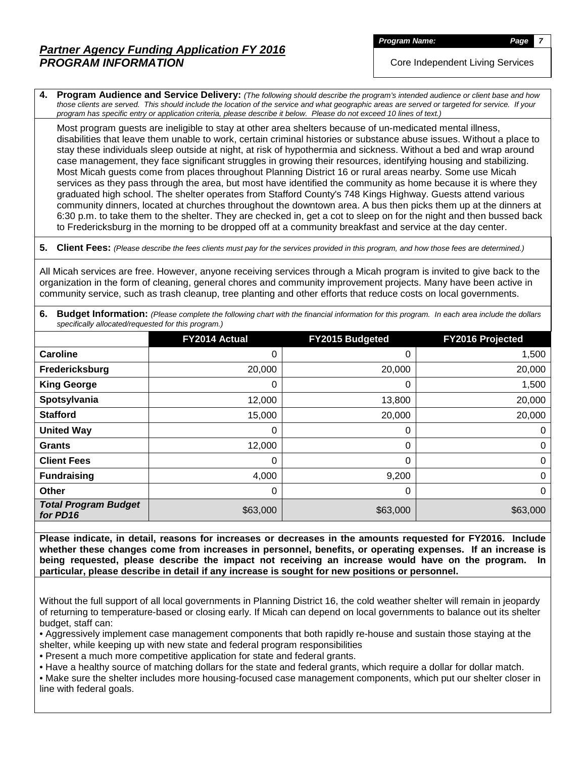**Program Name:** *Page* 

Core Independent Living Services

**4. Program Audience and Service Delivery:** *(The following should describe the program's intended audience or client base and how those clients are served. This should include the location of the service and what geographic areas are served or targeted for service. If your program has specific entry or application criteria, please describe it below. Please do not exceed 10 lines of text.)*

Most program guests are ineligible to stay at other area shelters because of un-medicated mental illness, disabilities that leave them unable to work, certain criminal histories or substance abuse issues. Without a place to stay these individuals sleep outside at night, at risk of hypothermia and sickness. Without a bed and wrap around case management, they face significant struggles in growing their resources, identifying housing and stabilizing. Most Micah guests come from places throughout Planning District 16 or rural areas nearby. Some use Micah services as they pass through the area, but most have identified the community as home because it is where they graduated high school. The shelter operates from Stafford County's 748 Kings Highway. Guests attend various community dinners, located at churches throughout the downtown area. A bus then picks them up at the dinners at 6:30 p.m. to take them to the shelter. They are checked in, get a cot to sleep on for the night and then bussed back to Fredericksburg in the morning to be dropped off at a community breakfast and service at the day center.

**5. Client Fees:** *(Please describe the fees clients must pay for the services provided in this program, and how those fees are determined.)*

All Micah services are free. However, anyone receiving services through a Micah program is invited to give back to the organization in the form of cleaning, general chores and community improvement projects. Many have been active in community service, such as trash cleanup, tree planting and other efforts that reduce costs on local governments.

|                                                     | 6. Budget Information: (Please complete the following chart with the financial information for this program. In each area include the dollars |  |
|-----------------------------------------------------|-----------------------------------------------------------------------------------------------------------------------------------------------|--|
| specifically allocated/requested for this program.) |                                                                                                                                               |  |

|                                         | FY2014 Actual | FY2015 Budgeted | FY2016 Projected |
|-----------------------------------------|---------------|-----------------|------------------|
| Caroline                                | 0             | 0               | 1,500            |
| Fredericksburg                          | 20,000        | 20,000          | 20,000           |
| <b>King George</b>                      | 0             | 0               | 1,500            |
| Spotsylvania                            | 12,000        | 13,800          | 20,000           |
| <b>Stafford</b>                         | 15,000        | 20,000          | 20,000           |
| <b>United Way</b>                       | 0             | 0               | 0                |
| <b>Grants</b>                           | 12,000        | 0               | 0                |
| <b>Client Fees</b>                      | 0             | 0               | 0                |
| <b>Fundraising</b>                      | 4,000         | 9,200           | 0                |
| Other                                   | 0             | 0               | 0                |
| <b>Total Program Budget</b><br>for PD16 | \$63,000      | \$63,000        | \$63,000         |

**Please indicate, in detail, reasons for increases or decreases in the amounts requested for FY2016. Include whether these changes come from increases in personnel, benefits, or operating expenses. If an increase is being requested, please describe the impact not receiving an increase would have on the program. In particular, please describe in detail if any increase is sought for new positions or personnel.**

Without the full support of all local governments in Planning District 16, the cold weather shelter will remain in jeopardy of returning to temperature-based or closing early. If Micah can depend on local governments to balance out its shelter budget, staff can:

• Aggressively implement case management components that both rapidly re-house and sustain those staying at the shelter, while keeping up with new state and federal program responsibilities

• Present a much more competitive application for state and federal grants.

• Have a healthy source of matching dollars for the state and federal grants, which require a dollar for dollar match.

• Make sure the shelter includes more housing-focused case management components, which put our shelter closer in line with federal goals.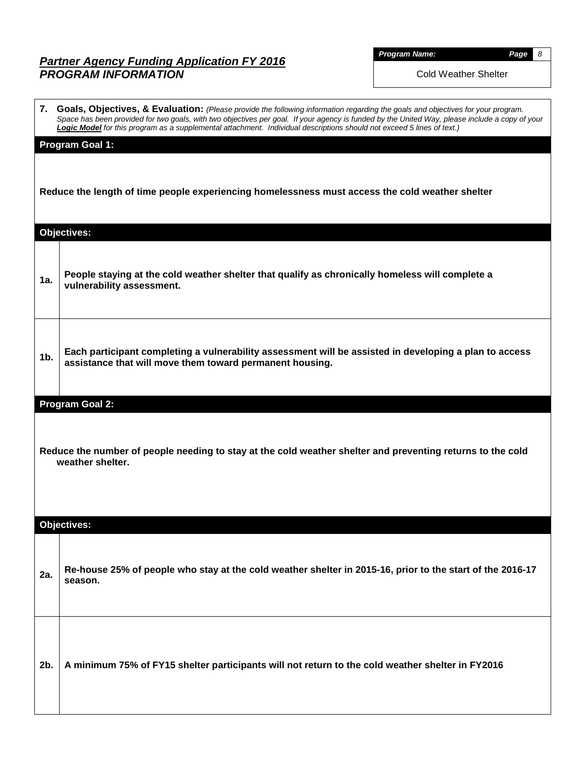| <b>Program Name</b> |  |  |
|---------------------|--|--|
|                     |  |  |

*Program Name: Page 8*

Cold Weather Shelter

|                | 7. Goals, Objectives, & Evaluation: (Please provide the following information regarding the goals and objectives for your program.                                                                                                                                       |
|----------------|--------------------------------------------------------------------------------------------------------------------------------------------------------------------------------------------------------------------------------------------------------------------------|
|                | Space has been provided for two goals, with two objectives per goal. If your agency is funded by the United Way, please include a copy of your<br>Logic Model for this program as a supplemental attachment. Individual descriptions should not exceed 5 lines of text.) |
|                | <b>Program Goal 1:</b>                                                                                                                                                                                                                                                   |
|                |                                                                                                                                                                                                                                                                          |
|                | Reduce the length of time people experiencing homelessness must access the cold weather shelter                                                                                                                                                                          |
|                |                                                                                                                                                                                                                                                                          |
|                | Objectives:                                                                                                                                                                                                                                                              |
|                |                                                                                                                                                                                                                                                                          |
| 1a.            | People staying at the cold weather shelter that qualify as chronically homeless will complete a                                                                                                                                                                          |
|                | vulnerability assessment.                                                                                                                                                                                                                                                |
|                |                                                                                                                                                                                                                                                                          |
|                |                                                                                                                                                                                                                                                                          |
| 1 <sub>b</sub> | Each participant completing a vulnerability assessment will be assisted in developing a plan to access<br>assistance that will move them toward permanent housing.                                                                                                       |
|                |                                                                                                                                                                                                                                                                          |
|                | <b>Program Goal 2:</b>                                                                                                                                                                                                                                                   |
|                |                                                                                                                                                                                                                                                                          |
|                | Reduce the number of people needing to stay at the cold weather shelter and preventing returns to the cold                                                                                                                                                               |
|                | weather shelter.                                                                                                                                                                                                                                                         |
|                |                                                                                                                                                                                                                                                                          |
|                |                                                                                                                                                                                                                                                                          |
|                | <b>Objectives:</b>                                                                                                                                                                                                                                                       |
|                |                                                                                                                                                                                                                                                                          |
| 2a.            | Re-house 25% of people who stay at the cold weather shelter in 2015-16, prior to the start of the 2016-17                                                                                                                                                                |
|                | season.                                                                                                                                                                                                                                                                  |
|                |                                                                                                                                                                                                                                                                          |
|                |                                                                                                                                                                                                                                                                          |
|                |                                                                                                                                                                                                                                                                          |
| 2b.            | A minimum 75% of FY15 shelter participants will not return to the cold weather shelter in FY2016                                                                                                                                                                         |
|                |                                                                                                                                                                                                                                                                          |
|                |                                                                                                                                                                                                                                                                          |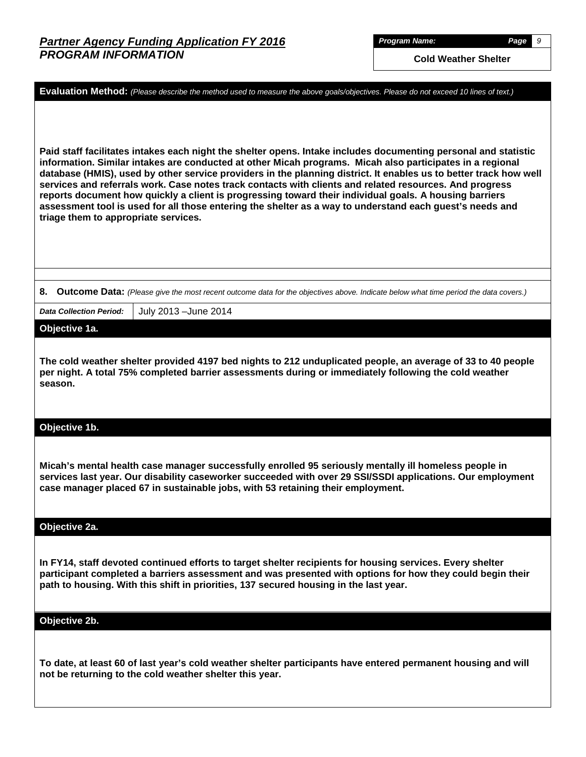*Program Name: Page 9*

**Cold Weather Shelter**

**Evaluation Method:** *(Please describe the method used to measure the above goals/objectives. Please do not exceed 10 lines of text.)* **Paid staff facilitates intakes each night the shelter opens. Intake includes documenting personal and statistic information. Similar intakes are conducted at other Micah programs. Micah also participates in a regional database (HMIS), used by other service providers in the planning district. It enables us to better track how well services and referrals work. Case notes track contacts with clients and related resources. And progress reports document how quickly a client is progressing toward their individual goals. A housing barriers assessment tool is used for all those entering the shelter as a way to understand each guest's needs and triage them to appropriate services. 8. Outcome Data:** *(Please give the most recent outcome data for the objectives above. Indicate below what time period the data covers.) Data Collection Period:* July 2013 –June 2014 **Objective 1a. The cold weather shelter provided 4197 bed nights to 212 unduplicated people, an average of 33 to 40 people per night. A total 75% completed barrier assessments during or immediately following the cold weather season. Objective 1b. Micah's mental health case manager successfully enrolled 95 seriously mentally ill homeless people in services last year. Our disability caseworker succeeded with over 29 SSI/SSDI applications. Our employment case manager placed 67 in sustainable jobs, with 53 retaining their employment. Objective 2a. In FY14, staff devoted continued efforts to target shelter recipients for housing services. Every shelter participant completed a barriers assessment and was presented with options for how they could begin their path to housing. With this shift in priorities, 137 secured housing in the last year. Objective 2b. To date, at least 60 of last year's cold weather shelter participants have entered permanent housing and will not be returning to the cold weather shelter this year.**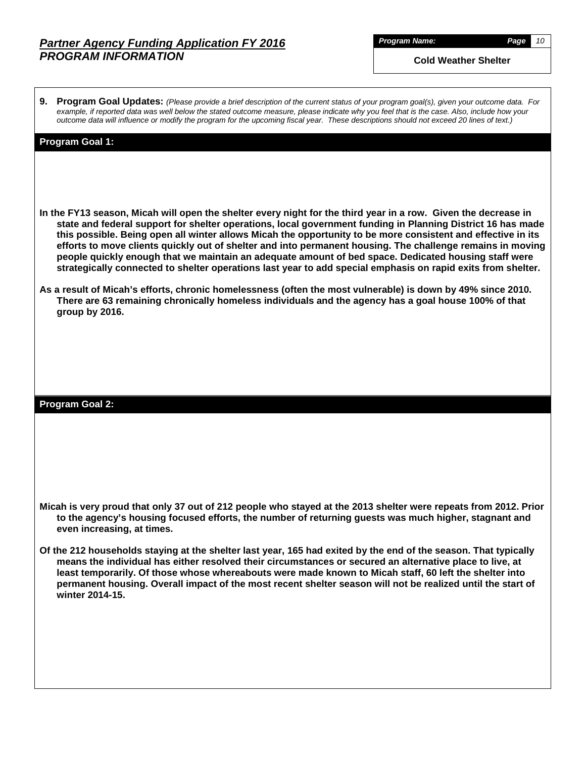*Program Name: Page 10*

**Cold Weather Shelter**

**9. Program Goal Updates:** *(Please provide a brief description of the current status of your program goal(s), given your outcome data. For example, if reported data was well below the stated outcome measure, please indicate why you feel that is the case. Also, include how your outcome data will influence or modify the program for the upcoming fiscal year. These descriptions should not exceed 20 lines of text.)*

#### **Program Goal 1:**

- **In the FY13 season, Micah will open the shelter every night for the third year in a row. Given the decrease in state and federal support for shelter operations, local government funding in Planning District 16 has made this possible. Being open all winter allows Micah the opportunity to be more consistent and effective in its efforts to move clients quickly out of shelter and into permanent housing. The challenge remains in moving people quickly enough that we maintain an adequate amount of bed space. Dedicated housing staff were strategically connected to shelter operations last year to add special emphasis on rapid exits from shelter.**
- **As a result of Micah's efforts, chronic homelessness (often the most vulnerable) is down by 49% since 2010. There are 63 remaining chronically homeless individuals and the agency has a goal house 100% of that group by 2016.**

#### **Program Goal 2:**

- **Micah is very proud that only 37 out of 212 people who stayed at the 2013 shelter were repeats from 2012. Prior to the agency's housing focused efforts, the number of returning guests was much higher, stagnant and even increasing, at times.**
- **Of the 212 households staying at the shelter last year, 165 had exited by the end of the season. That typically means the individual has either resolved their circumstances or secured an alternative place to live, at least temporarily. Of those whose whereabouts were made known to Micah staff, 60 left the shelter into permanent housing. Overall impact of the most recent shelter season will not be realized until the start of winter 2014-15.**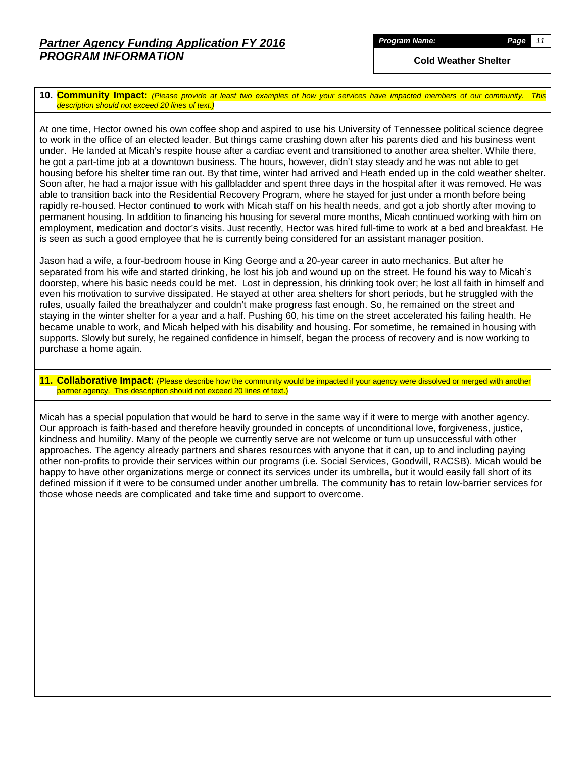**Cold Weather Shelter**

**10. Community Impact:** *(Please provide at least two examples of how your services have impacted members of our community. This description should not exceed 20 lines of text.)*

At one time, Hector owned his own coffee shop and aspired to use his University of Tennessee political science degree to work in the office of an elected leader. But things came crashing down after his parents died and his business went under. He landed at Micah's respite house after a cardiac event and transitioned to another area shelter. While there, he got a part-time job at a downtown business. The hours, however, didn't stay steady and he was not able to get housing before his shelter time ran out. By that time, winter had arrived and Heath ended up in the cold weather shelter. Soon after, he had a major issue with his gallbladder and spent three days in the hospital after it was removed. He was able to transition back into the Residential Recovery Program, where he stayed for just under a month before being rapidly re-housed. Hector continued to work with Micah staff on his health needs, and got a job shortly after moving to permanent housing. In addition to financing his housing for several more months, Micah continued working with him on employment, medication and doctor's visits. Just recently, Hector was hired full-time to work at a bed and breakfast. He is seen as such a good employee that he is currently being considered for an assistant manager position.

Jason had a wife, a four-bedroom house in King George and a 20-year career in auto mechanics. But after he separated from his wife and started drinking, he lost his job and wound up on the street. He found his way to Micah's doorstep, where his basic needs could be met. Lost in depression, his drinking took over; he lost all faith in himself and even his motivation to survive dissipated. He stayed at other area shelters for short periods, but he struggled with the rules, usually failed the breathalyzer and couldn't make progress fast enough. So, he remained on the street and staying in the winter shelter for a year and a half. Pushing 60, his time on the street accelerated his failing health. He became unable to work, and Micah helped with his disability and housing. For sometime, he remained in housing with supports. Slowly but surely, he regained confidence in himself, began the process of recovery and is now working to purchase a home again.

#### **11. Collaborative Impact:** (Please describe how the community would be impacted if your agency were dissolved or merged with another partner agency. This description should not exceed 20 lines of text.)

Micah has a special population that would be hard to serve in the same way if it were to merge with another agency. Our approach is faith-based and therefore heavily grounded in concepts of unconditional love, forgiveness, justice, kindness and humility. Many of the people we currently serve are not welcome or turn up unsuccessful with other approaches. The agency already partners and shares resources with anyone that it can, up to and including paying other non-profits to provide their services within our programs (i.e. Social Services, Goodwill, RACSB). Micah would be happy to have other organizations merge or connect its services under its umbrella, but it would easily fall short of its defined mission if it were to be consumed under another umbrella. The community has to retain low-barrier services for those whose needs are complicated and take time and support to overcome.